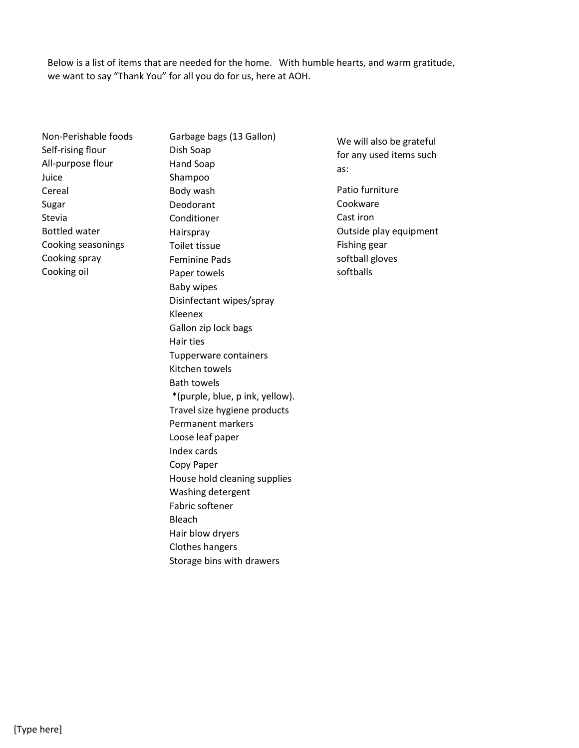Below is a list of items that are needed for the home. With humble hearts, and warm gratitude, we want to say "Thank You" for all you do for us, here at AOH.

- Non-Perishable foods Self-rising flour All-purpose flour Juice Cereal Sugar Stevia Bottled water Cooking seasonings Cooking spray Cooking oil
- Garbage bags (13 Gallon) Dish Soap Hand Soap Shampoo Body wash Deodorant Conditioner Hairspray Toilet tissue Feminine Pads Paper towels Baby wipes Disinfectant wipes/spray Kleenex Gallon zip lock bags Hair ties Tupperware containers Kitchen towels Bath towels \*(purple, blue, p ink, yellow). Travel size hygiene products Permanent markers Loose leaf paper Index cards Copy Paper House hold cleaning supplies Washing detergent Fabric softener Bleach Hair blow dryers Clothes hangers Storage bins with drawers
- We will also be grateful for any used items such as:
- Patio furniture Cookware Cast iron Outside play equipment Fishing gear softball gloves softballs